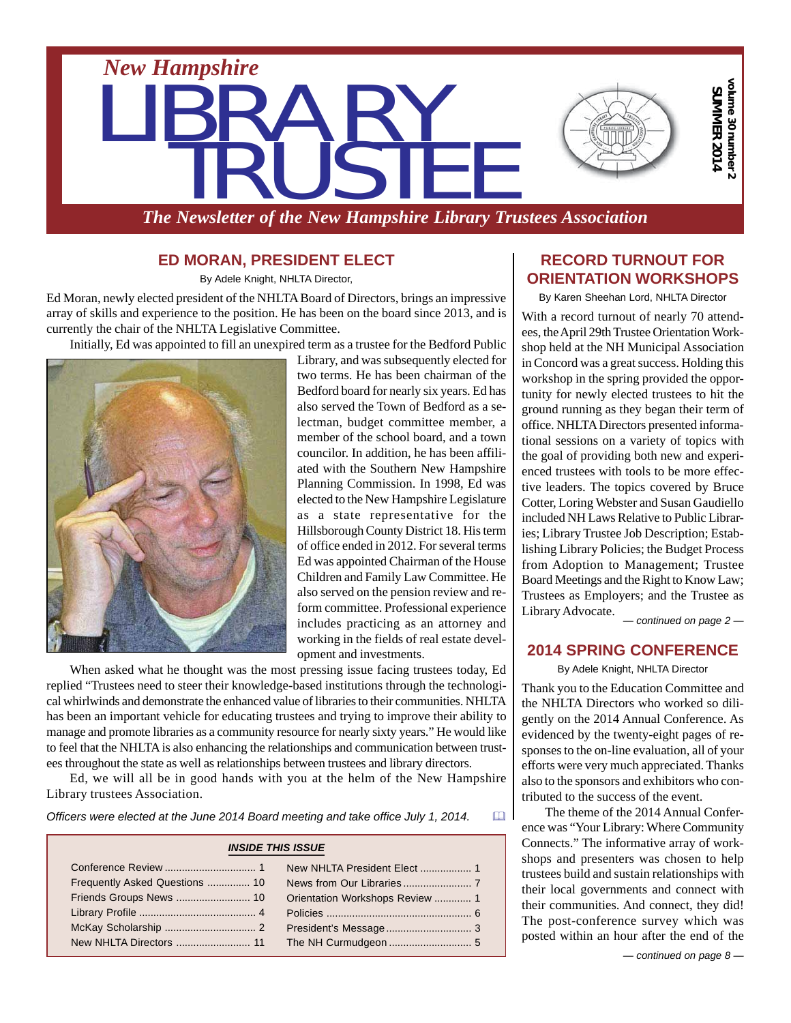

*The Newsletter of the New Hampshire Library Trustees Association*

#### **ED MORAN, PRESIDENT ELECT**

By Adele Knight, NHLTA Director,

Ed Moran, newly elected president of the NHLTA Board of Directors, brings an impressive array of skills and experience to the position. He has been on the board since 2013, and is currently the chair of the NHLTA Legislative Committee.

Initially, Ed was appointed to fill an unexpired term as a trustee for the Bedford Public



Library, and was subsequently elected for two terms. He has been chairman of the Bedford board for nearly six years. Ed has also served the Town of Bedford as a selectman, budget committee member, a member of the school board, and a town councilor. In addition, he has been affiliated with the Southern New Hampshire Planning Commission. In 1998, Ed was elected to the New Hampshire Legislature as a state representative for the Hillsborough County District 18. His term of office ended in 2012. For several terms Ed was appointed Chairman of the House Children and Family Law Committee. He also served on the pension review and reform committee. Professional experience includes practicing as an attorney and working in the fields of real estate development and investments.

When asked what he thought was the most pressing issue facing trustees today, Ed replied "Trustees need to steer their knowledge-based institutions through the technological whirlwinds and demonstrate the enhanced value of libraries to their communities. NHLTA has been an important vehicle for educating trustees and trying to improve their ability to manage and promote libraries as a community resource for nearly sixty years." He would like to feel that the NHLTA is also enhancing the relationships and communication between trustees throughout the state as well as relationships between trustees and library directors.

Ed, we will all be in good hands with you at the helm of the New Hampshire Library trustees Association.

*Officers were elected at the June 2014 Board meeting and take office July 1, 2014.*

| <b>INSIDE THIS ISSUE</b>       |  |  |
|--------------------------------|--|--|
|                                |  |  |
| Frequently Asked Questions  10 |  |  |
|                                |  |  |
|                                |  |  |
|                                |  |  |
|                                |  |  |

### **RECORD TURNOUT FOR ORIENTATION WORKSHOPS**

By Karen Sheehan Lord, NHLTA Director

With a record turnout of nearly 70 attendees, the April 29th Trustee Orientation Workshop held at the NH Municipal Association in Concord was a great success. Holding this workshop in the spring provided the opportunity for newly elected trustees to hit the ground running as they began their term of office. NHLTA Directors presented informational sessions on a variety of topics with the goal of providing both new and experienced trustees with tools to be more effective leaders. The topics covered by Bruce Cotter, Loring Webster and Susan Gaudiello included NH Laws Relative to Public Libraries; Library Trustee Job Description; Establishing Library Policies; the Budget Process from Adoption to Management; Trustee Board Meetings and the Right to Know Law; Trustees as Employers; and the Trustee as Library Advocate. *— continued on page 2 —*

#### **2014 SPRING CONFERENCE**

By Adele Knight, NHLTA Director

Thank you to the Education Committee and the NHLTA Directors who worked so diligently on the 2014 Annual Conference. As evidenced by the twenty-eight pages of responses to the on-line evaluation, all of your efforts were very much appreciated. Thanks also to the sponsors and exhibitors who contributed to the success of the event.

The theme of the 2014 Annual Conference was "Your Library: Where Community Connects." The informative array of workshops and presenters was chosen to help trustees build and sustain relationships with their local governments and connect with their communities. And connect, they did! The post-conference survey which was posted within an hour after the end of the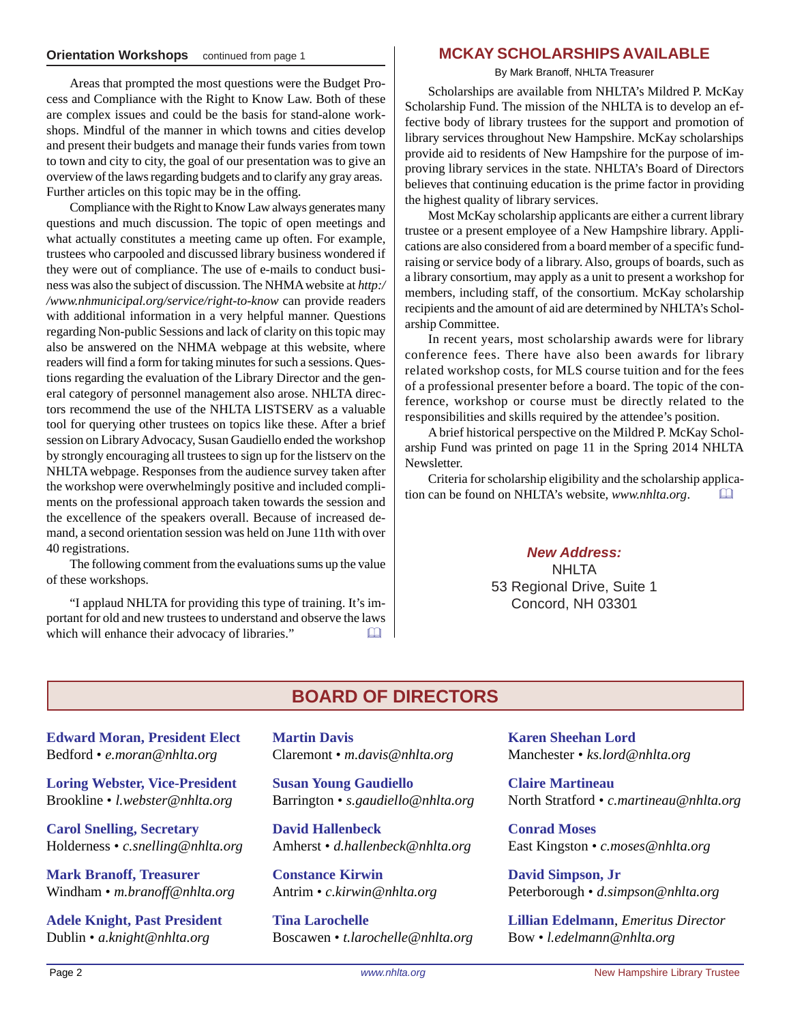Areas that prompted the most questions were the Budget Process and Compliance with the Right to Know Law. Both of these are complex issues and could be the basis for stand-alone workshops. Mindful of the manner in which towns and cities develop and present their budgets and manage their funds varies from town to town and city to city, the goal of our presentation was to give an overview of the laws regarding budgets and to clarify any gray areas. Further articles on this topic may be in the offing.

Compliance with the Right to Know Law always generates many questions and much discussion. The topic of open meetings and what actually constitutes a meeting came up often. For example, trustees who carpooled and discussed library business wondered if they were out of compliance. The use of e-mails to conduct business was also the subject of discussion. The NHMA website at *http:/ /www.nhmunicipal.org/service/right-to-know* can provide readers with additional information in a very helpful manner. Questions regarding Non-public Sessions and lack of clarity on this topic may also be answered on the NHMA webpage at this website, where readers will find a form for taking minutes for such a sessions. Questions regarding the evaluation of the Library Director and the general category of personnel management also arose. NHLTA directors recommend the use of the NHLTA LISTSERV as a valuable tool for querying other trustees on topics like these. After a brief session on Library Advocacy, Susan Gaudiello ended the workshop by strongly encouraging all trustees to sign up for the listserv on the NHLTA webpage. Responses from the audience survey taken after the workshop were overwhelmingly positive and included compliments on the professional approach taken towards the session and the excellence of the speakers overall. Because of increased demand, a second orientation session was held on June 11th with over 40 registrations.

The following comment from the evaluations sums up the value of these workshops.

"I applaud NHLTA for providing this type of training. It's important for old and new trustees to understand and observe the laws which will enhance their advocacy of libraries."

#### **Orientation Workshops** continued from page 1 **MCKAY SCHOLARSHIPS AVAILABLE**

#### By Mark Branoff, NHLTA Treasurer

Scholarships are available from NHLTA's Mildred P. McKay Scholarship Fund. The mission of the NHLTA is to develop an effective body of library trustees for the support and promotion of library services throughout New Hampshire. McKay scholarships provide aid to residents of New Hampshire for the purpose of improving library services in the state. NHLTA's Board of Directors believes that continuing education is the prime factor in providing the highest quality of library services.

Most McKay scholarship applicants are either a current library trustee or a present employee of a New Hampshire library. Applications are also considered from a board member of a specific fundraising or service body of a library. Also, groups of boards, such as a library consortium, may apply as a unit to present a workshop for members, including staff, of the consortium. McKay scholarship recipients and the amount of aid are determined by NHLTA's Scholarship Committee.

In recent years, most scholarship awards were for library conference fees. There have also been awards for library related workshop costs, for MLS course tuition and for the fees of a professional presenter before a board. The topic of the conference, workshop or course must be directly related to the responsibilities and skills required by the attendee's position.

A brief historical perspective on the Mildred P. McKay Scholarship Fund was printed on page 11 in the Spring 2014 NHLTA Newsletter.

Criteria for scholarship eligibility and the scholarship application can be found on NHLTA's website, *www.nhlta.org*.

#### *New Address:*

NHLTA 53 Regional Drive, Suite 1 Concord, NH 03301

### **BOARD OF DIRECTORS**

**Edward Moran, President Elect** Bedford • *e.moran@nhlta.org*

**Loring Webster, Vice-President** Brookline • *l.webster@nhlta.org*

**Carol Snelling, Secretary** Holderness • *c.snelling@nhlta.org*

**Mark Branoff, Treasurer** Windham • *m.branoff@nhlta.org*

**Adele Knight, Past President** Dublin • *a.knight@nhlta.org*

**Martin Davis** Claremont • *m.davis@nhlta.org*

**Susan Young Gaudiello** Barrington • *s.gaudiello@nhlta.org*

**David Hallenbeck** Amherst • *d.hallenbeck@nhlta.org*

**Constance Kirwin** Antrim • *c.kirwin@nhlta.org*

**Tina Larochelle** Boscawen • *t.larochelle@nhlta.org* **Karen Sheehan Lord** Manchester • *ks.lord@nhlta.org*

**Claire Martineau** North Stratford • *c.martineau@nhlta.org*

**Conrad Moses** East Kingston • *c.moses@nhlta.org*

**David Simpson, Jr** Peterborough • *d.simpson@nhlta.org*

**Lillian Edelmann**, *Emeritus Director* Bow • *l.edelmann@nhlta.org*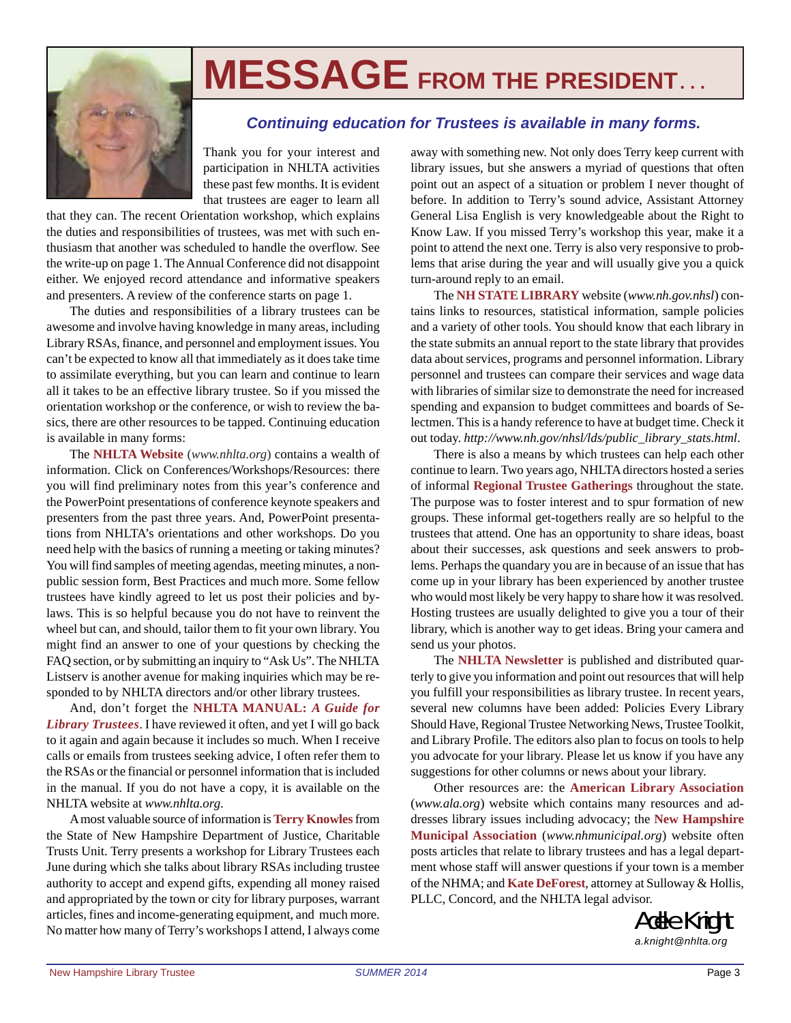

# **MESSAGE FROM THE PRESIDENT. . .**

### *Continuing education for Trustees is available in many forms.*

Thank you for your interest and participation in NHLTA activities these past few months. It is evident that trustees are eager to learn all

that they can. The recent Orientation workshop, which explains the duties and responsibilities of trustees, was met with such enthusiasm that another was scheduled to handle the overflow. See the write-up on page 1. The Annual Conference did not disappoint either. We enjoyed record attendance and informative speakers and presenters. A review of the conference starts on page 1.

The duties and responsibilities of a library trustees can be awesome and involve having knowledge in many areas, including Library RSAs, finance, and personnel and employment issues. You can't be expected to know all that immediately as it does take time to assimilate everything, but you can learn and continue to learn all it takes to be an effective library trustee. So if you missed the orientation workshop or the conference, or wish to review the basics, there are other resources to be tapped. Continuing education is available in many forms:

The **NHLTA Website** (*www.nhlta.org*) contains a wealth of information. Click on Conferences/Workshops/Resources: there you will find preliminary notes from this year's conference and the PowerPoint presentations of conference keynote speakers and presenters from the past three years. And, PowerPoint presentations from NHLTA's orientations and other workshops. Do you need help with the basics of running a meeting or taking minutes? You will find samples of meeting agendas, meeting minutes, a nonpublic session form, Best Practices and much more. Some fellow trustees have kindly agreed to let us post their policies and bylaws. This is so helpful because you do not have to reinvent the wheel but can, and should, tailor them to fit your own library. You might find an answer to one of your questions by checking the FAQ section, or by submitting an inquiry to "Ask Us". The NHLTA Listserv is another avenue for making inquiries which may be responded to by NHLTA directors and/or other library trustees.

And, don't forget the **NHLTA MANUAL:** *A Guide for Library Trustees*. I have reviewed it often, and yet I will go back to it again and again because it includes so much. When I receive calls or emails from trustees seeking advice, I often refer them to the RSAs or the financial or personnel information that is included in the manual. If you do not have a copy, it is available on the NHLTA website at *www.nhlta.org*.

A most valuable source of information is **Terry Knowles** from the State of New Hampshire Department of Justice, Charitable Trusts Unit. Terry presents a workshop for Library Trustees each June during which she talks about library RSAs including trustee authority to accept and expend gifts, expending all money raised and appropriated by the town or city for library purposes, warrant articles, fines and income-generating equipment, and much more. No matter how many of Terry's workshops I attend, I always come

away with something new. Not only does Terry keep current with library issues, but she answers a myriad of questions that often point out an aspect of a situation or problem I never thought of before. In addition to Terry's sound advice, Assistant Attorney General Lisa English is very knowledgeable about the Right to Know Law. If you missed Terry's workshop this year, make it a point to attend the next one. Terry is also very responsive to problems that arise during the year and will usually give you a quick turn-around reply to an email.

The **NH STATE LIBRARY** website (*www.nh.gov.nhsl*) contains links to resources, statistical information, sample policies and a variety of other tools. You should know that each library in the state submits an annual report to the state library that provides data about services, programs and personnel information. Library personnel and trustees can compare their services and wage data with libraries of similar size to demonstrate the need for increased spending and expansion to budget committees and boards of Selectmen. This is a handy reference to have at budget time. Check it out today. *http://www.nh.gov/nhsl/lds/public\_library\_stats.html*.

There is also a means by which trustees can help each other continue to learn. Two years ago, NHLTA directors hosted a series of informal **Regional Trustee Gatherings** throughout the state. The purpose was to foster interest and to spur formation of new groups. These informal get-togethers really are so helpful to the trustees that attend. One has an opportunity to share ideas, boast about their successes, ask questions and seek answers to problems. Perhaps the quandary you are in because of an issue that has come up in your library has been experienced by another trustee who would most likely be very happy to share how it was resolved. Hosting trustees are usually delighted to give you a tour of their library, which is another way to get ideas. Bring your camera and send us your photos.

The **NHLTA Newsletter** is published and distributed quarterly to give you information and point out resources that will help you fulfill your responsibilities as library trustee. In recent years, several new columns have been added: Policies Every Library Should Have, Regional Trustee Networking News, Trustee Toolkit, and Library Profile. The editors also plan to focus on tools to help you advocate for your library. Please let us know if you have any suggestions for other columns or news about your library.

Other resources are: the **American Library Association** (*www.ala.org*) website which contains many resources and addresses library issues including advocacy; the **New Hampshire Municipal Association** (*www.nhmunicipal.org*) website often posts articles that relate to library trustees and has a legal department whose staff will answer questions if your town is a member of the NHMA; and **Kate DeForest**, attorney at Sulloway & Hollis, PLLC, Concord, and the NHLTA legal advisor.

> Adele Knight *a.knight@nhlta.org*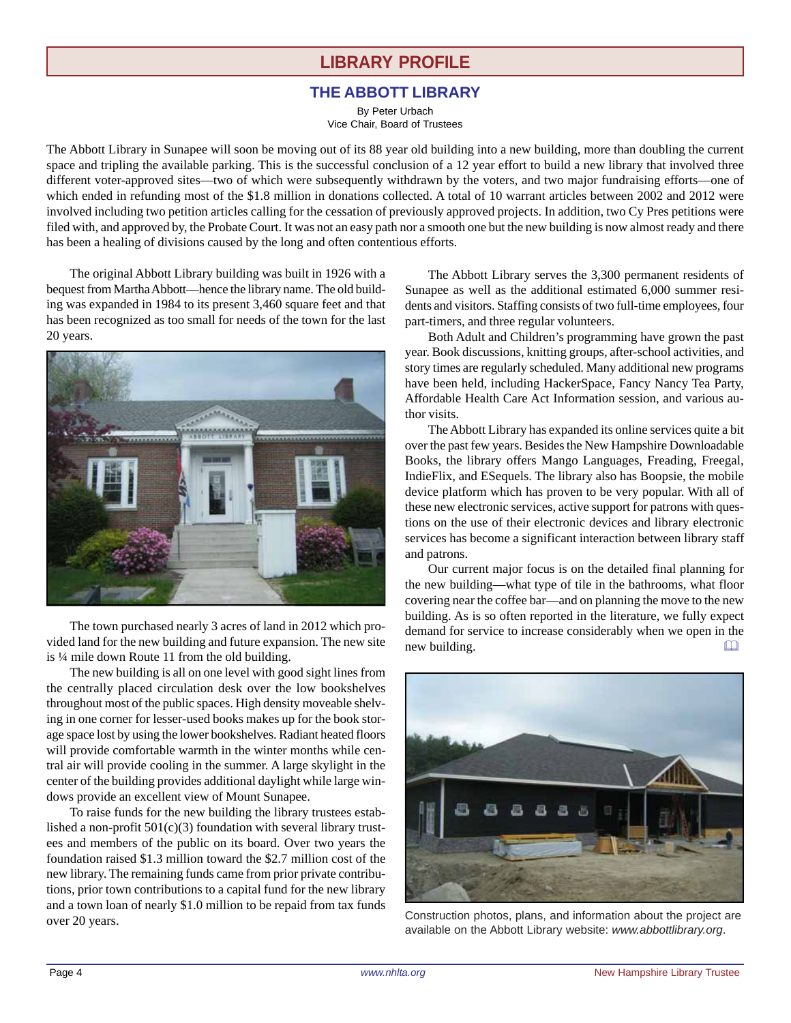### **LIBRARY PROFILE**

#### **THE ABBOTT LIBRARY**

By Peter Urbach Vice Chair, Board of Trustees

The Abbott Library in Sunapee will soon be moving out of its 88 year old building into a new building, more than doubling the current space and tripling the available parking. This is the successful conclusion of a 12 year effort to build a new library that involved three different voter-approved sites—two of which were subsequently withdrawn by the voters, and two major fundraising efforts—one of which ended in refunding most of the \$1.8 million in donations collected. A total of 10 warrant articles between 2002 and 2012 were involved including two petition articles calling for the cessation of previously approved projects. In addition, two Cy Pres petitions were filed with, and approved by, the Probate Court. It was not an easy path nor a smooth one but the new building is now almost ready and there has been a healing of divisions caused by the long and often contentious efforts.

The original Abbott Library building was built in 1926 with a bequest from Martha Abbott—hence the library name. The old building was expanded in 1984 to its present 3,460 square feet and that has been recognized as too small for needs of the town for the last 20 years.



The town purchased nearly 3 acres of land in 2012 which provided land for the new building and future expansion. The new site is ¼ mile down Route 11 from the old building.

The new building is all on one level with good sight lines from the centrally placed circulation desk over the low bookshelves throughout most of the public spaces. High density moveable shelving in one corner for lesser-used books makes up for the book storage space lost by using the lower bookshelves. Radiant heated floors will provide comfortable warmth in the winter months while central air will provide cooling in the summer. A large skylight in the center of the building provides additional daylight while large windows provide an excellent view of Mount Sunapee.

To raise funds for the new building the library trustees established a non-profit  $501(c)(3)$  foundation with several library trustees and members of the public on its board. Over two years the foundation raised \$1.3 million toward the \$2.7 million cost of the new library. The remaining funds came from prior private contributions, prior town contributions to a capital fund for the new library and a town loan of nearly \$1.0 million to be repaid from tax funds over 20 years.

The Abbott Library serves the 3,300 permanent residents of Sunapee as well as the additional estimated 6,000 summer residents and visitors. Staffing consists of two full-time employees, four part-timers, and three regular volunteers.

Both Adult and Children's programming have grown the past year. Book discussions, knitting groups, after-school activities, and story times are regularly scheduled. Many additional new programs have been held, including HackerSpace, Fancy Nancy Tea Party, Affordable Health Care Act Information session, and various author visits.

The Abbott Library has expanded its online services quite a bit over the past few years. Besides the New Hampshire Downloadable Books, the library offers Mango Languages, Freading, Freegal, IndieFlix, and ESequels. The library also has Boopsie, the mobile device platform which has proven to be very popular. With all of these new electronic services, active support for patrons with questions on the use of their electronic devices and library electronic services has become a significant interaction between library staff and patrons.

Our current major focus is on the detailed final planning for the new building—what type of tile in the bathrooms, what floor covering near the coffee bar—and on planning the move to the new building. As is so often reported in the literature, we fully expect demand for service to increase considerably when we open in the new building.



Construction photos, plans, and information about the project are available on the Abbott Library website: *www.abbottlibrary.org*.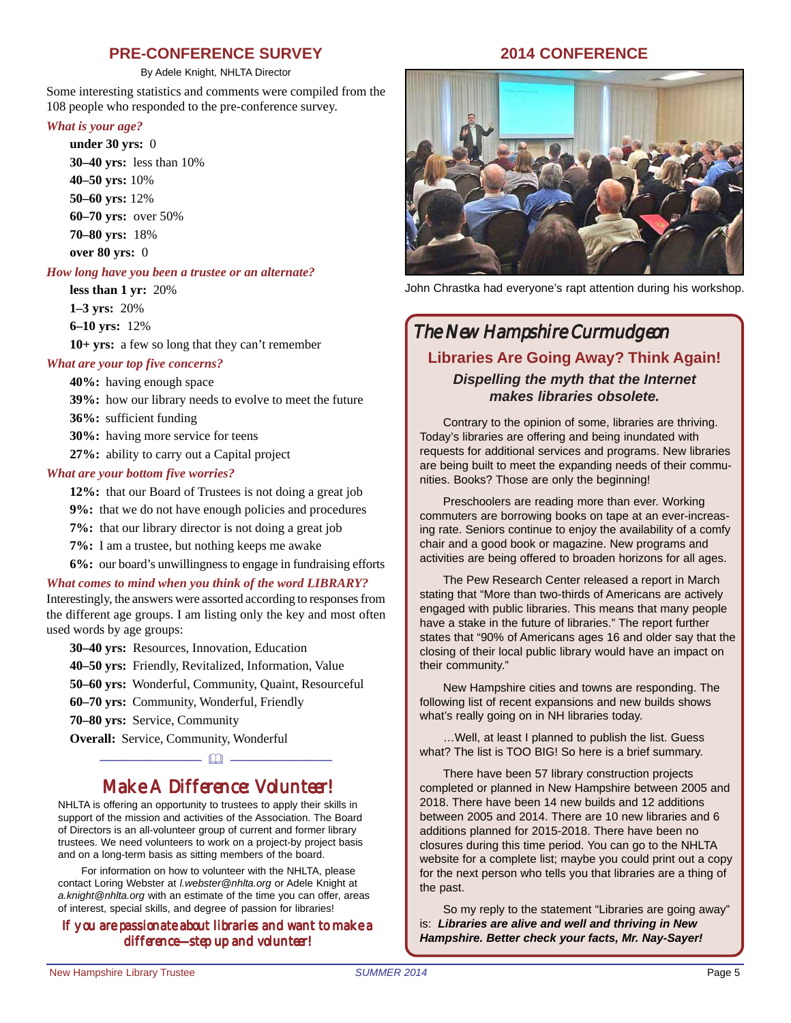#### **PRE-CONFERENCE SURVEY**

By Adele Knight, NHLTA Director

Some interesting statistics and comments were compiled from the 108 people who responded to the pre-conference survey.

#### *What is your age?*

**under 30 yrs:** 0 **30–40 yrs:** less than 10% **40–50 yrs:** 10% **50–60 yrs:** 12% **60–70 yrs:** over 50% **70–80 yrs:** 18% **over 80 yrs:** 0

*How long have you been a trustee or an alternate?*

**less than 1 yr:** 20%

**1–3 yrs:** 20%

**6–10 yrs:** 12%

**10+ yrs:** a few so long that they can't remember

#### *What are your top five concerns?*

**40%:** having enough space

**39%:** how our library needs to evolve to meet the future

**36%:** sufficient funding

**30%:** having more service for teens

**27%:** ability to carry out a Capital project

#### *What are your bottom five worries?*

**12%:** that our Board of Trustees is not doing a great job

**9%:** that we do not have enough policies and procedures

**7%:** that our library director is not doing a great job

**7%:** I am a trustee, but nothing keeps me awake

**6%:** our board's unwillingness to engage in fundraising efforts

#### *What comes to mind when you think of the word LIBRARY?*

Interestingly, the answers were assorted according to responses from the different age groups. I am listing only the key and most often used words by age groups:

**30–40 yrs:** Resources, Innovation, Education

**40–50 yrs:** Friendly, Revitalized, Information, Value

**50–60 yrs:** Wonderful, Community, Quaint, Resourceful

**60–70 yrs:** Community, Wonderful, Friendly

**70–80 yrs:** Service, Community

**Overall:** Service, Community, Wonderful

### Make A Difference: Volunteer!

 $-$ 

NHLTA is offering an opportunity to trustees to apply their skills in support of the mission and activities of the Association. The Board of Directors is an all-volunteer group of current and former library trustees. We need volunteers to work on a project-by project basis and on a long-term basis as sitting members of the board.

For information on how to volunteer with the NHLTA, please contact Loring Webster at *l.webster@nhlta.org* or Adele Knight at *a.knight@nhlta.org* with an estimate of the time you can offer, areas of interest, special skills, and degree of passion for libraries!

#### If you are passionate about libraries and want to make a difference—step up and volunteer!

#### **2014 CONFERENCE**



John Chrastka had everyone's rapt attention during his workshop.

### **Libraries Are Going Away? Think Again!** *Dispelling the myth that the Internet makes libraries obsolete.* The New Hampshire Curmudgeon

Contrary to the opinion of some, libraries are thriving. Today's libraries are offering and being inundated with requests for additional services and programs. New libraries are being built to meet the expanding needs of their communities. Books? Those are only the beginning!

Preschoolers are reading more than ever. Working commuters are borrowing books on tape at an ever-increasing rate. Seniors continue to enjoy the availability of a comfy chair and a good book or magazine. New programs and activities are being offered to broaden horizons for all ages.

The Pew Research Center released a report in March stating that "More than two-thirds of Americans are actively engaged with public libraries. This means that many people have a stake in the future of libraries." The report further states that "90% of Americans ages 16 and older say that the closing of their local public library would have an impact on their community."

New Hampshire cities and towns are responding. The following list of recent expansions and new builds shows what's really going on in NH libraries today.

…Well, at least I planned to publish the list. Guess what? The list is TOO BIG! So here is a brief summary.

There have been 57 library construction projects completed or planned in New Hampshire between 2005 and 2018. There have been 14 new builds and 12 additions between 2005 and 2014. There are 10 new libraries and 6 additions planned for 2015-2018. There have been no closures during this time period. You can go to the NHLTA website for a complete list; maybe you could print out a copy for the next person who tells you that libraries are a thing of the past.

So my reply to the statement "Libraries are going away" is: *Libraries are alive and well and thriving in New Hampshire. Better check your facts, Mr. Nay-Sayer!*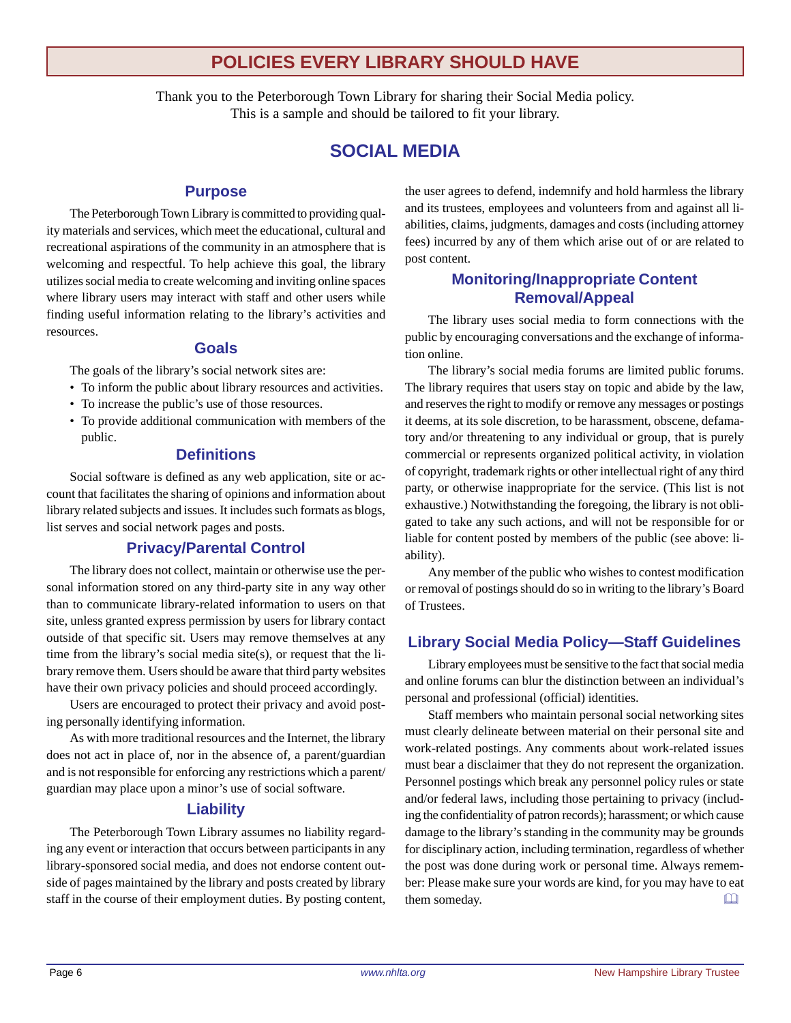### **POLICIES EVERY LIBRARY SHOULD HAVE**

Thank you to the Peterborough Town Library for sharing their Social Media policy. This is a sample and should be tailored to fit your library.

### **SOCIAL MEDIA**

#### **Purpose**

The Peterborough Town Library is committed to providing quality materials and services, which meet the educational, cultural and recreational aspirations of the community in an atmosphere that is welcoming and respectful. To help achieve this goal, the library utilizes social media to create welcoming and inviting online spaces where library users may interact with staff and other users while finding useful information relating to the library's activities and resources.

#### **Goals**

The goals of the library's social network sites are:

- To inform the public about library resources and activities.
- To increase the public's use of those resources.
- To provide additional communication with members of the public.

#### **Definitions**

Social software is defined as any web application, site or account that facilitates the sharing of opinions and information about library related subjects and issues. It includes such formats as blogs, list serves and social network pages and posts.

#### **Privacy/Parental Control**

The library does not collect, maintain or otherwise use the personal information stored on any third-party site in any way other than to communicate library-related information to users on that site, unless granted express permission by users for library contact outside of that specific sit. Users may remove themselves at any time from the library's social media site(s), or request that the library remove them. Users should be aware that third party websites have their own privacy policies and should proceed accordingly.

Users are encouraged to protect their privacy and avoid posting personally identifying information.

As with more traditional resources and the Internet, the library does not act in place of, nor in the absence of, a parent/guardian and is not responsible for enforcing any restrictions which a parent/ guardian may place upon a minor's use of social software.

### **Liability**

The Peterborough Town Library assumes no liability regarding any event or interaction that occurs between participants in any library-sponsored social media, and does not endorse content outside of pages maintained by the library and posts created by library staff in the course of their employment duties. By posting content, the user agrees to defend, indemnify and hold harmless the library and its trustees, employees and volunteers from and against all liabilities, claims, judgments, damages and costs (including attorney fees) incurred by any of them which arise out of or are related to post content.

#### **Monitoring/Inappropriate Content Removal/Appeal**

The library uses social media to form connections with the public by encouraging conversations and the exchange of information online.

The library's social media forums are limited public forums. The library requires that users stay on topic and abide by the law, and reserves the right to modify or remove any messages or postings it deems, at its sole discretion, to be harassment, obscene, defamatory and/or threatening to any individual or group, that is purely commercial or represents organized political activity, in violation of copyright, trademark rights or other intellectual right of any third party, or otherwise inappropriate for the service. (This list is not exhaustive.) Notwithstanding the foregoing, the library is not obligated to take any such actions, and will not be responsible for or liable for content posted by members of the public (see above: liability).

Any member of the public who wishes to contest modification or removal of postings should do so in writing to the library's Board of Trustees.

### **Library Social Media Policy—Staff Guidelines**

Library employees must be sensitive to the fact that social media and online forums can blur the distinction between an individual's personal and professional (official) identities.

Staff members who maintain personal social networking sites must clearly delineate between material on their personal site and work-related postings. Any comments about work-related issues must bear a disclaimer that they do not represent the organization. Personnel postings which break any personnel policy rules or state and/or federal laws, including those pertaining to privacy (including the confidentiality of patron records); harassment; or which cause damage to the library's standing in the community may be grounds for disciplinary action, including termination, regardless of whether the post was done during work or personal time. Always remember: Please make sure your words are kind, for you may have to eat them someday.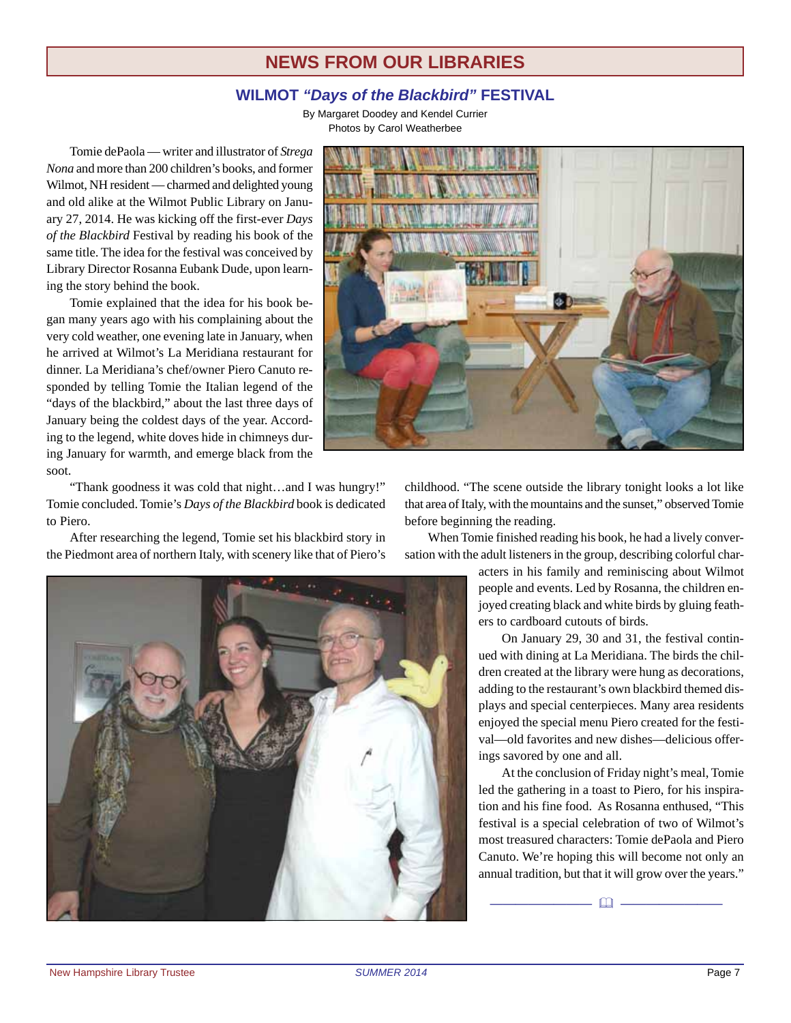### **NEWS FROM OUR LIBRARIES**

#### **WILMOT** *"Days of the Blackbird"* **FESTIVAL**

By Margaret Doodey and Kendel Currier Photos by Carol Weatherbee

Tomie dePaola — writer and illustrator of *Strega Nona* and more than 200 children's books, and former Wilmot, NH resident — charmed and delighted young and old alike at the Wilmot Public Library on January 27, 2014. He was kicking off the first-ever *Days of the Blackbird* Festival by reading his book of the same title. The idea for the festival was conceived by Library Director Rosanna Eubank Dude, upon learning the story behind the book.

Tomie explained that the idea for his book began many years ago with his complaining about the very cold weather, one evening late in January, when he arrived at Wilmot's La Meridiana restaurant for dinner. La Meridiana's chef/owner Piero Canuto responded by telling Tomie the Italian legend of the "days of the blackbird," about the last three days of January being the coldest days of the year. According to the legend, white doves hide in chimneys during January for warmth, and emerge black from the soot.

"Thank goodness it was cold that night…and I was hungry!" Tomie concluded. Tomie's *Days of the Blackbird* book is dedicated to Piero.

After researching the legend, Tomie set his blackbird story in the Piedmont area of northern Italy, with scenery like that of Piero's



When Tomie finished reading his book, he had a lively conversation with the adult listeners in the group, describing colorful char-

> acters in his family and reminiscing about Wilmot people and events. Led by Rosanna, the children enjoyed creating black and white birds by gluing feathers to cardboard cutouts of birds.

On January 29, 30 and 31, the festival continued with dining at La Meridiana. The birds the children created at the library were hung as decorations, adding to the restaurant's own blackbird themed displays and special centerpieces. Many area residents enjoyed the special menu Piero created for the festival—old favorites and new dishes—delicious offerings savored by one and all.

At the conclusion of Friday night's meal, Tomie led the gathering in a toast to Piero, for his inspiration and his fine food. As Rosanna enthused, "This festival is a special celebration of two of Wilmot's most treasured characters: Tomie dePaola and Piero Canuto. We're hoping this will become not only an annual tradition, but that it will grow over the years."

———————— ————————



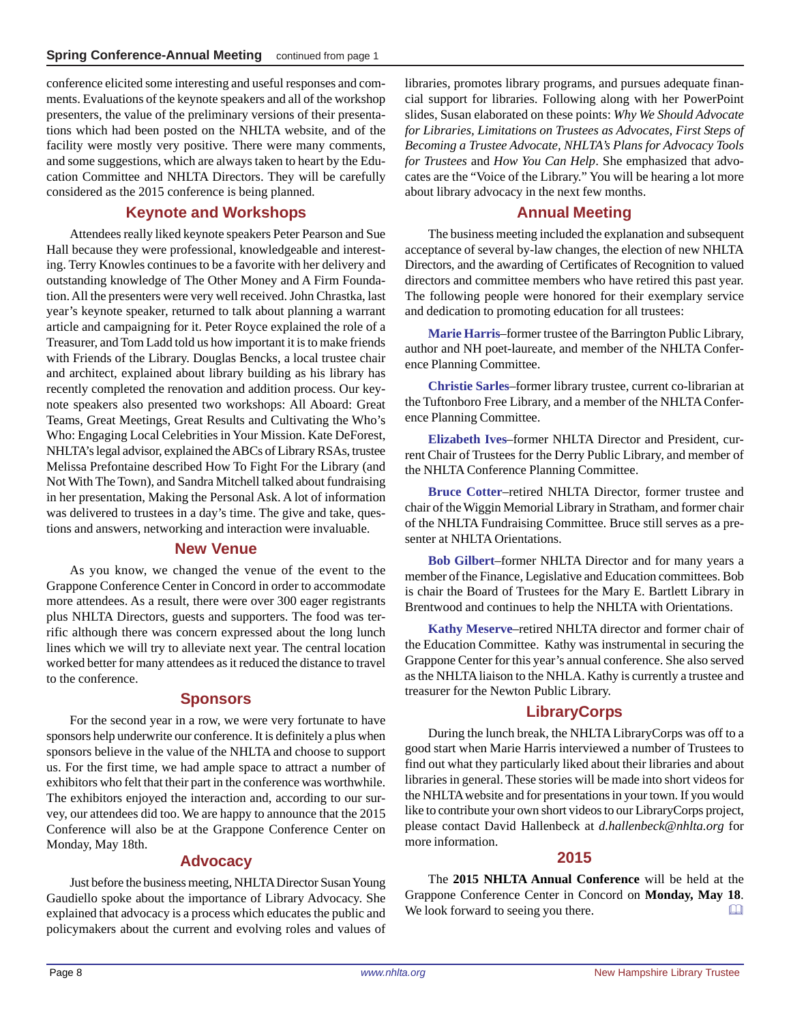conference elicited some interesting and useful responses and comments. Evaluations of the keynote speakers and all of the workshop presenters, the value of the preliminary versions of their presentations which had been posted on the NHLTA website, and of the facility were mostly very positive. There were many comments, and some suggestions, which are always taken to heart by the Education Committee and NHLTA Directors. They will be carefully considered as the 2015 conference is being planned.

### **Keynote and Workshops**

Attendees really liked keynote speakers Peter Pearson and Sue Hall because they were professional, knowledgeable and interesting. Terry Knowles continues to be a favorite with her delivery and outstanding knowledge of The Other Money and A Firm Foundation. All the presenters were very well received. John Chrastka, last year's keynote speaker, returned to talk about planning a warrant article and campaigning for it. Peter Royce explained the role of a Treasurer, and Tom Ladd told us how important it is to make friends with Friends of the Library. Douglas Bencks, a local trustee chair and architect, explained about library building as his library has recently completed the renovation and addition process. Our keynote speakers also presented two workshops: All Aboard: Great Teams, Great Meetings, Great Results and Cultivating the Who's Who: Engaging Local Celebrities in Your Mission. Kate DeForest, NHLTA's legal advisor, explained the ABCs of Library RSAs, trustee Melissa Prefontaine described How To Fight For the Library (and Not With The Town), and Sandra Mitchell talked about fundraising in her presentation, Making the Personal Ask. A lot of information was delivered to trustees in a day's time. The give and take, questions and answers, networking and interaction were invaluable.

### **New Venue**

As you know, we changed the venue of the event to the Grappone Conference Center in Concord in order to accommodate more attendees. As a result, there were over 300 eager registrants plus NHLTA Directors, guests and supporters. The food was terrific although there was concern expressed about the long lunch lines which we will try to alleviate next year. The central location worked better for many attendees as it reduced the distance to travel to the conference.

### **Sponsors**

For the second year in a row, we were very fortunate to have sponsors help underwrite our conference. It is definitely a plus when sponsors believe in the value of the NHLTA and choose to support us. For the first time, we had ample space to attract a number of exhibitors who felt that their part in the conference was worthwhile. The exhibitors enjoyed the interaction and, according to our survey, our attendees did too. We are happy to announce that the 2015 Conference will also be at the Grappone Conference Center on Monday, May 18th.

### **Advocacy**

Just before the business meeting, NHLTA Director Susan Young Gaudiello spoke about the importance of Library Advocacy. She explained that advocacy is a process which educates the public and policymakers about the current and evolving roles and values of

libraries, promotes library programs, and pursues adequate financial support for libraries. Following along with her PowerPoint slides, Susan elaborated on these points: *Why We Should Advocate for Libraries, Limitations on Trustees as Advocates, First Steps of Becoming a Trustee Advocate, NHLTA's Plans for Advocacy Tools for Trustees* and *How You Can Help*. She emphasized that advocates are the "Voice of the Library." You will be hearing a lot more about library advocacy in the next few months.

### **Annual Meeting**

The business meeting included the explanation and subsequent acceptance of several by-law changes, the election of new NHLTA Directors, and the awarding of Certificates of Recognition to valued directors and committee members who have retired this past year. The following people were honored for their exemplary service and dedication to promoting education for all trustees:

**Marie Harris**–former trustee of the Barrington Public Library, author and NH poet-laureate, and member of the NHLTA Conference Planning Committee.

**Christie Sarles**–former library trustee, current co-librarian at the Tuftonboro Free Library, and a member of the NHLTA Conference Planning Committee.

**Elizabeth Ives**–former NHLTA Director and President, current Chair of Trustees for the Derry Public Library, and member of the NHLTA Conference Planning Committee.

**Bruce Cotter**–retired NHLTA Director, former trustee and chair of the Wiggin Memorial Library in Stratham, and former chair of the NHLTA Fundraising Committee. Bruce still serves as a presenter at NHLTA Orientations.

**Bob Gilbert**–former NHLTA Director and for many years a member of the Finance, Legislative and Education committees. Bob is chair the Board of Trustees for the Mary E. Bartlett Library in Brentwood and continues to help the NHLTA with Orientations.

**Kathy Meserve**–retired NHLTA director and former chair of the Education Committee. Kathy was instrumental in securing the Grappone Center for this year's annual conference. She also served as the NHLTA liaison to the NHLA. Kathy is currently a trustee and treasurer for the Newton Public Library.

### **LibraryCorps**

During the lunch break, the NHLTA LibraryCorps was off to a good start when Marie Harris interviewed a number of Trustees to find out what they particularly liked about their libraries and about libraries in general. These stories will be made into short videos for the NHLTA website and for presentations in your town. If you would like to contribute your own short videos to our LibraryCorps project, please contact David Hallenbeck at *d.hallenbeck@nhlta.org* for more information.

### **2015**

The **2015 NHLTA Annual Conference** will be held at the Grappone Conference Center in Concord on **Monday, May 18**. We look forward to seeing you there.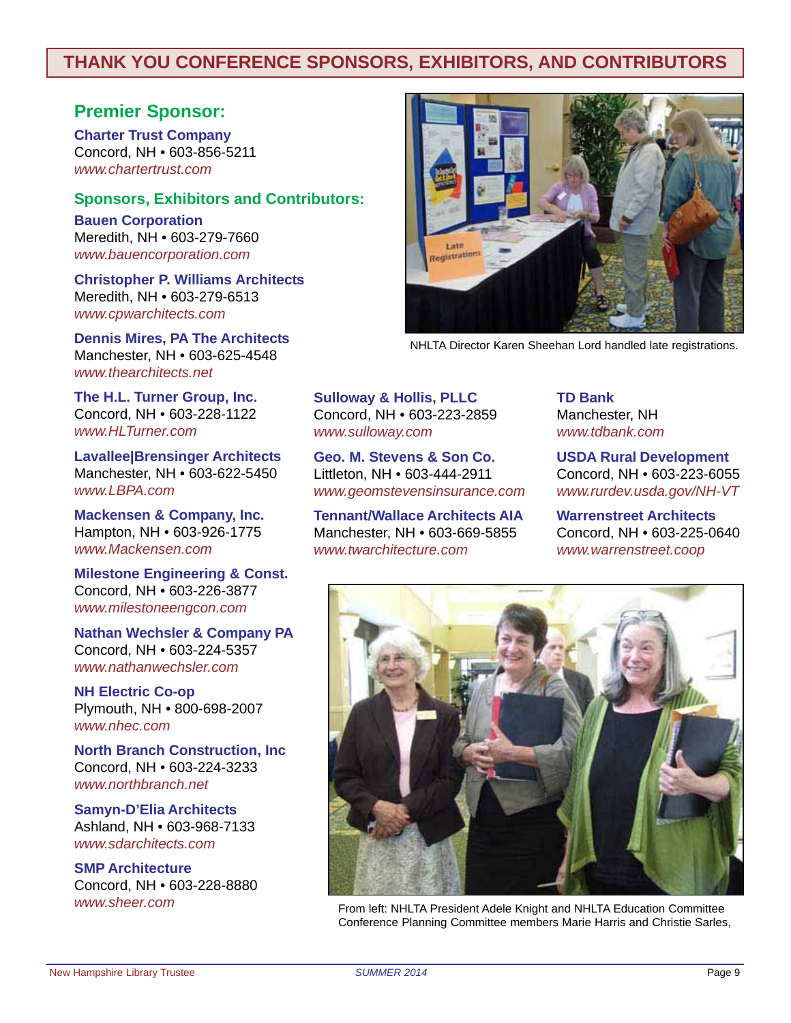### **THANK YOU CONFERENCE SPONSORS, EXHIBITORS, AND CONTRIBUTORS**

### **Premier Sponsor:**

**Charter Trust Company** Concord, NH • 603-856-5211 *www.chartertrust.com*

#### **Sponsors, Exhibitors and Contributors:**

**Bauen Corporation** Meredith, NH • 603-279-7660 *www.bauencorporation.com*

**Christopher P. Williams Architects** Meredith, NH • 603-279-6513 *www.cpwarchitects.com*

**Dennis Mires, PA The Architects** Manchester, NH • 603-625-4548 *www.thearchitects.net*

**The H.L. Turner Group, Inc.** Concord, NH • 603-228-1122 *www.HLTurner.com*

**Lavallee|Brensinger Architects** Manchester, NH • 603-622-5450 *www.LBPA.com*

**Mackensen & Company, Inc.** Hampton, NH • 603-926-1775 *www.Mackensen.com*

**Milestone Engineering & Const.** Concord, NH • 603-226-3877 *www.milestoneengcon.com*

**Nathan Wechsler & Company PA** Concord, NH • 603-224-5357 *www.nathanwechsler.com*

**NH Electric Co-op** Plymouth, NH • 800-698-2007 *www.nhec.com*

**North Branch Construction, Inc** Concord, NH • 603-224-3233 *www.northbranch.net*

**Samyn-D'Elia Architects** Ashland, NH • 603-968-7133 *www.sdarchitects.com*

**SMP Architecture** Concord, NH • 603-228-8880 *www.sheer.com*



NHLTA Director Karen Sheehan Lord handled late registrations.

**Sulloway & Hollis, PLLC** Concord, NH • 603-223-2859 *www.sulloway.com*

**Geo. M. Stevens & Son Co.** Littleton, NH • 603-444-2911 *www.geomstevensinsurance.com*

**Tennant/Wallace Architects AIA** Manchester, NH • 603-669-5855 *www.twarchitecture.com*

**TD Bank** Manchester, NH *www.tdbank.com*

**USDA Rural Development** Concord, NH • 603-223-6055 *www.rurdev.usda.gov/NH-VT*

**Warrenstreet Architects** Concord, NH • 603-225-0640 *www.warrenstreet.coop*



From left: NHLTA President Adele Knight and NHLTA Education Committee Conference Planning Committee members Marie Harris and Christie Sarles,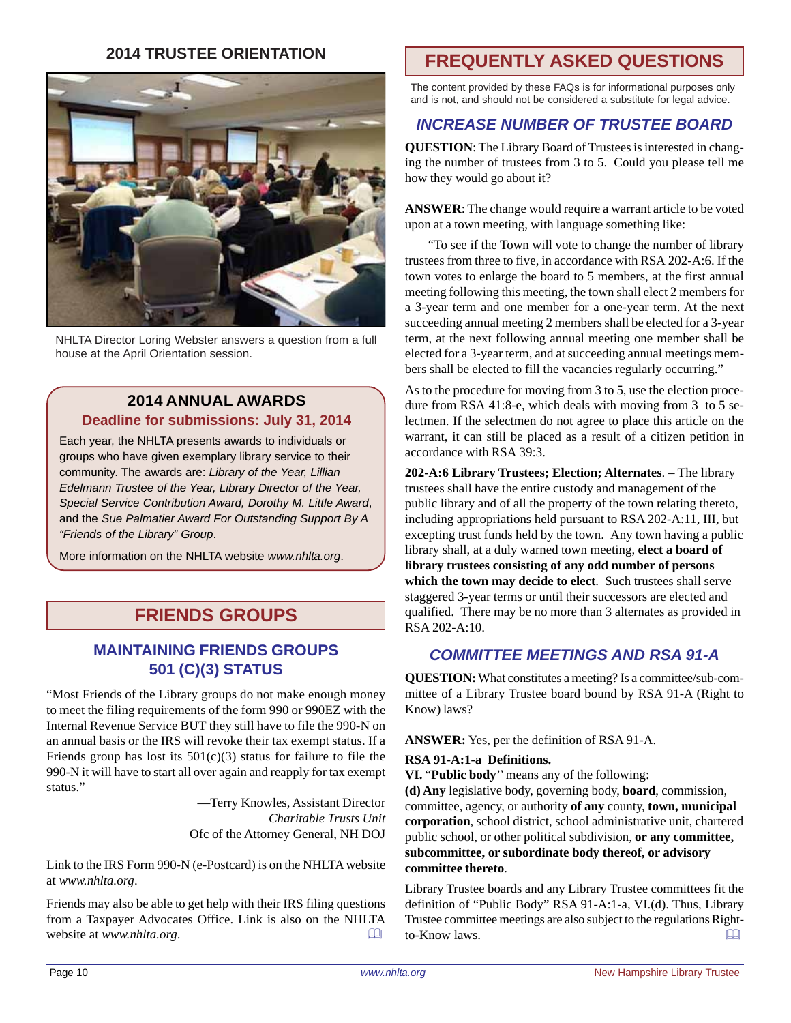#### **2014 TRUSTEE ORIENTATION**



NHLTA Director Loring Webster answers a question from a full house at the April Orientation session.

### **2014 ANNUAL AWARDS Deadline for submissions: July 31, 2014**

Each year, the NHLTA presents awards to individuals or groups who have given exemplary library service to their community. The awards are: *Library of the Year, Lillian Edelmann Trustee of the Year, Library Director of the Year, Special Service Contribution Award, Dorothy M. Little Award*, and the *Sue Palmatier Award For Outstanding Support By A "Friends of the Library" Group*.

More information on the NHLTA website *www.nhlta.org*.

### **FRIENDS GROUPS**

#### **MAINTAINING FRIENDS GROUPS 501 (C)(3) STATUS**

"Most Friends of the Library groups do not make enough money to meet the filing requirements of the form 990 or 990EZ with the Internal Revenue Service BUT they still have to file the 990-N on an annual basis or the IRS will revoke their tax exempt status. If a Friends group has lost its  $501(c)(3)$  status for failure to file the 990-N it will have to start all over again and reapply for tax exempt status."

> —Terry Knowles, Assistant Director *Charitable Trusts Unit* Ofc of the Attorney General, NH DOJ

Link to the IRS Form 990-N (e-Postcard) is on the NHLTA website at *www.nhlta.org*.

Friends may also be able to get help with their IRS filing questions from a Taxpayer Advocates Office. Link is also on the NHLTA website at *www.nhlta.org*.

## **FREQUENTLY ASKED QUESTIONS**

The content provided by these FAQs is for informational purposes only and is not, and should not be considered a substitute for legal advice.

### *INCREASE NUMBER OF TRUSTEE BOARD*

**QUESTION**: The Library Board of Trustees is interested in changing the number of trustees from 3 to 5. Could you please tell me how they would go about it?

**ANSWER**: The change would require a warrant article to be voted upon at a town meeting, with language something like:

"To see if the Town will vote to change the number of library trustees from three to five, in accordance with RSA 202-A:6. If the town votes to enlarge the board to 5 members, at the first annual meeting following this meeting, the town shall elect 2 members for a 3-year term and one member for a one-year term. At the next succeeding annual meeting 2 members shall be elected for a 3-year term, at the next following annual meeting one member shall be elected for a 3-year term, and at succeeding annual meetings members shall be elected to fill the vacancies regularly occurring."

As to the procedure for moving from 3 to 5, use the election procedure from RSA 41:8-e, which deals with moving from 3 to 5 selectmen. If the selectmen do not agree to place this article on the warrant, it can still be placed as a result of a citizen petition in accordance with RSA 39:3.

**202-A:6 Library Trustees; Election; Alternates**. – The library trustees shall have the entire custody and management of the public library and of all the property of the town relating thereto, including appropriations held pursuant to RSA 202-A:11, III, but excepting trust funds held by the town. Any town having a public library shall, at a duly warned town meeting, **elect a board of library trustees consisting of any odd number of persons which the town may decide to elect**. Such trustees shall serve staggered 3-year terms or until their successors are elected and qualified. There may be no more than 3 alternates as provided in RSA 202-A:10.

### *COMMITTEE MEETINGS AND RSA 91-A*

**QUESTION:** What constitutes a meeting? Is a committee/sub-committee of a Library Trustee board bound by RSA 91-A (Right to Know) laws?

**ANSWER:** Yes, per the definition of RSA 91-A.

#### **RSA 91-A:1-a Definitions.**

**VI.** "**Public body**'' means any of the following:

**(d) Any** legislative body, governing body, **board**, commission, committee, agency, or authority **of any** county, **town, municipal corporation**, school district, school administrative unit, chartered public school, or other political subdivision, **or any committee, subcommittee, or subordinate body thereof, or advisory committee thereto**.

Library Trustee boards and any Library Trustee committees fit the definition of "Public Body" RSA 91-A:1-a, VI.(d). Thus, Library Trustee committee meetings are also subject to the regulations Rightto-Know laws.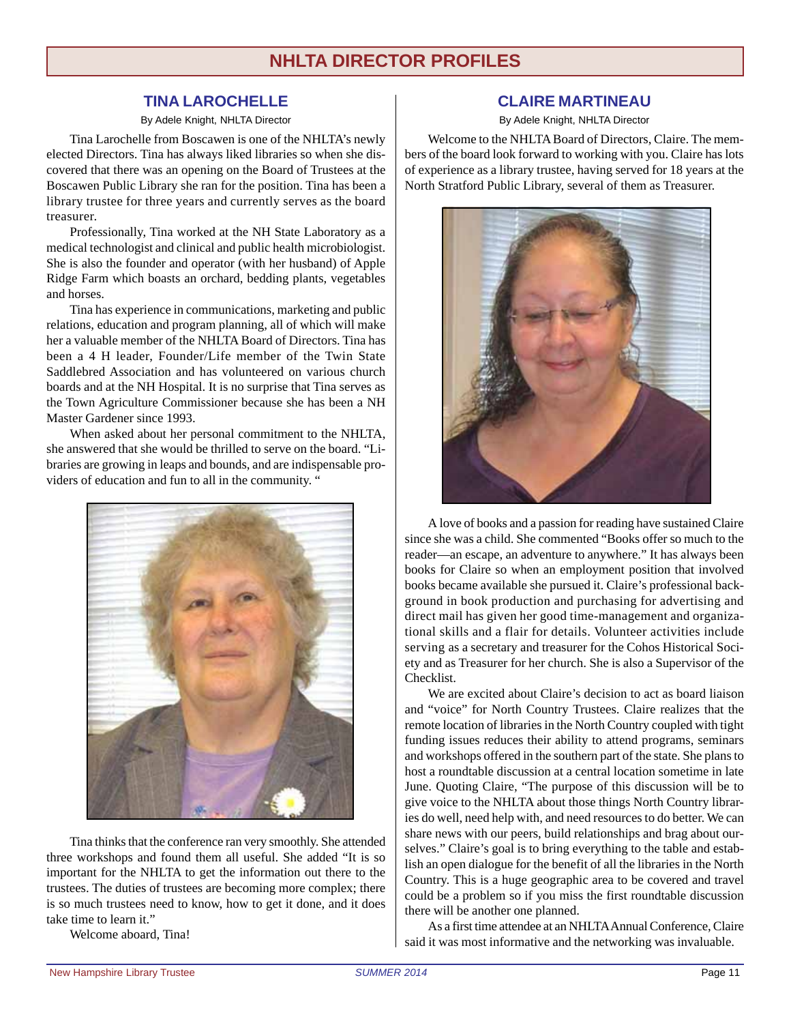### **NHLTA DIRECTOR PROFILES**

#### **TINA LAROCHELLE**

#### By Adele Knight, NHLTA Director

Tina Larochelle from Boscawen is one of the NHLTA's newly elected Directors. Tina has always liked libraries so when she discovered that there was an opening on the Board of Trustees at the Boscawen Public Library she ran for the position. Tina has been a library trustee for three years and currently serves as the board treasurer.

Professionally, Tina worked at the NH State Laboratory as a medical technologist and clinical and public health microbiologist. She is also the founder and operator (with her husband) of Apple Ridge Farm which boasts an orchard, bedding plants, vegetables and horses.

Tina has experience in communications, marketing and public relations, education and program planning, all of which will make her a valuable member of the NHLTA Board of Directors. Tina has been a 4 H leader, Founder/Life member of the Twin State Saddlebred Association and has volunteered on various church boards and at the NH Hospital. It is no surprise that Tina serves as the Town Agriculture Commissioner because she has been a NH Master Gardener since 1993.

When asked about her personal commitment to the NHLTA, she answered that she would be thrilled to serve on the board. "Libraries are growing in leaps and bounds, and are indispensable providers of education and fun to all in the community. "



Tina thinks that the conference ran very smoothly. She attended three workshops and found them all useful. She added "It is so important for the NHLTA to get the information out there to the trustees. The duties of trustees are becoming more complex; there is so much trustees need to know, how to get it done, and it does take time to learn it."

Welcome aboard, Tina!

#### **CLAIRE MARTINEAU**

By Adele Knight, NHLTA Director

Welcome to the NHLTA Board of Directors, Claire. The members of the board look forward to working with you. Claire has lots of experience as a library trustee, having served for 18 years at the North Stratford Public Library, several of them as Treasurer.



A love of books and a passion for reading have sustained Claire since she was a child. She commented "Books offer so much to the reader—an escape, an adventure to anywhere." It has always been books for Claire so when an employment position that involved books became available she pursued it. Claire's professional background in book production and purchasing for advertising and direct mail has given her good time-management and organizational skills and a flair for details. Volunteer activities include serving as a secretary and treasurer for the Cohos Historical Society and as Treasurer for her church. She is also a Supervisor of the Checklist.

We are excited about Claire's decision to act as board liaison and "voice" for North Country Trustees. Claire realizes that the remote location of libraries in the North Country coupled with tight funding issues reduces their ability to attend programs, seminars and workshops offered in the southern part of the state. She plans to host a roundtable discussion at a central location sometime in late June. Quoting Claire, "The purpose of this discussion will be to give voice to the NHLTA about those things North Country libraries do well, need help with, and need resources to do better. We can share news with our peers, build relationships and brag about ourselves." Claire's goal is to bring everything to the table and establish an open dialogue for the benefit of all the libraries in the North Country. This is a huge geographic area to be covered and travel could be a problem so if you miss the first roundtable discussion there will be another one planned.

As a first time attendee at an NHLTA Annual Conference, Claire said it was most informative and the networking was invaluable.